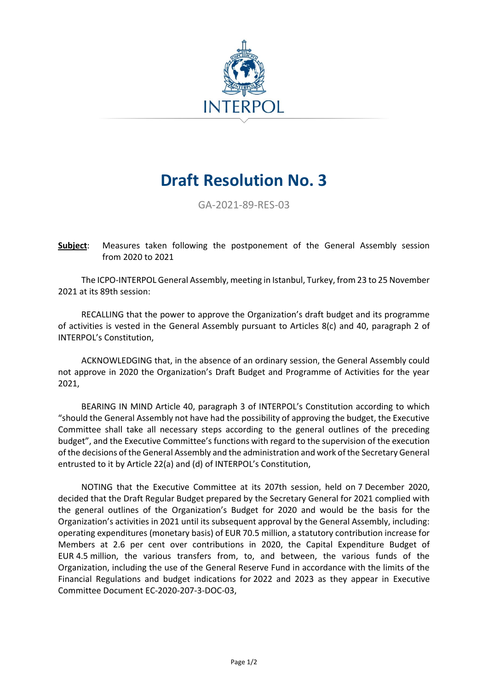

## **Draft Resolution No. 3**

GA-2021-89-RES-03

**Subject**: Measures taken following the postponement of the General Assembly session from 2020 to 2021

The ICPO-INTERPOL General Assembly, meeting in Istanbul, Turkey, from 23 to 25 November 2021 at its 89th session:

RECALLING that the power to approve the Organization's draft budget and its programme of activities is vested in the General Assembly pursuant to Articles 8(c) and 40, paragraph 2 of INTERPOL's Constitution,

ACKNOWLEDGING that, in the absence of an ordinary session, the General Assembly could not approve in 2020 the Organization's Draft Budget and Programme of Activities for the year 2021,

BEARING IN MIND Article 40, paragraph 3 of INTERPOL's Constitution according to which "should the General Assembly not have had the possibility of approving the budget, the Executive Committee shall take all necessary steps according to the general outlines of the preceding budget", and the Executive Committee's functions with regard to the supervision of the execution of the decisions of the General Assembly and the administration and work of the Secretary General entrusted to it by Article 22(a) and (d) of INTERPOL's Constitution,

NOTING that the Executive Committee at its 207th session, held on 7 December 2020, decided that the Draft Regular Budget prepared by the Secretary General for 2021 complied with the general outlines of the Organization's Budget for 2020 and would be the basis for the Organization's activities in 2021 until its subsequent approval by the General Assembly, including: operating expenditures (monetary basis) of EUR 70.5 million, a statutory contribution increase for Members at 2.6 per cent over contributions in 2020, the Capital Expenditure Budget of EUR 4.5 million, the various transfers from, to, and between, the various funds of the Organization, including the use of the General Reserve Fund in accordance with the limits of the Financial Regulations and budget indications for 2022 and 2023 as they appear in Executive Committee Document EC-2020-207-3-DOC-03,